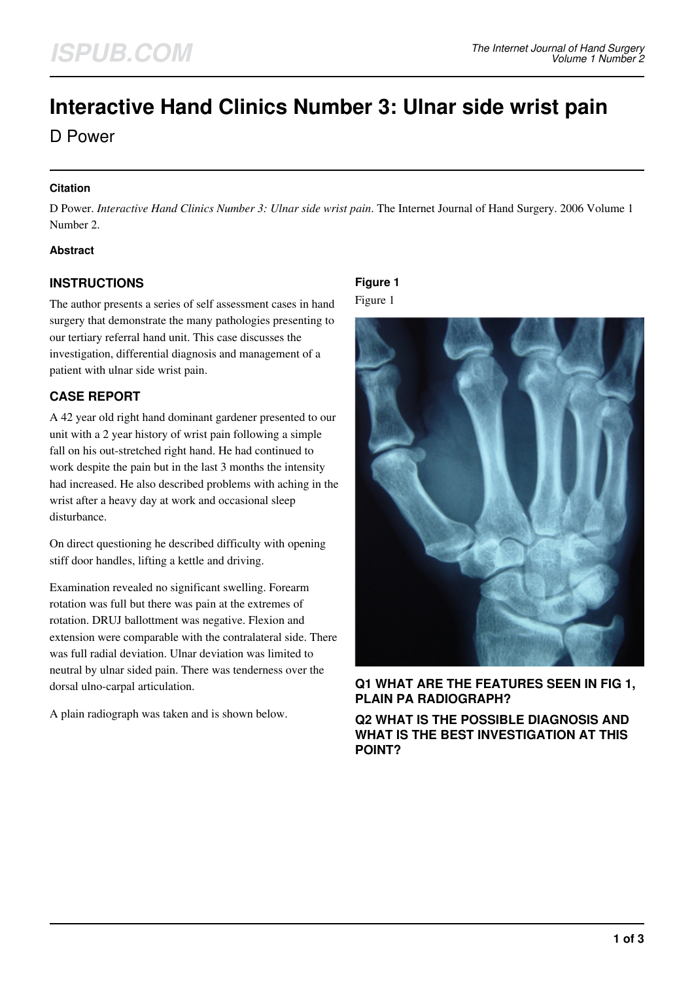# **Interactive Hand Clinics Number 3: Ulnar side wrist pain**

D Power

#### **Citation**

D Power. *Interactive Hand Clinics Number 3: Ulnar side wrist pain*. The Internet Journal of Hand Surgery. 2006 Volume 1 Number 2.

#### **Abstract**

## **INSTRUCTIONS**

The author presents a series of self assessment cases in hand surgery that demonstrate the many pathologies presenting to our tertiary referral hand unit. This case discusses the investigation, differential diagnosis and management of a patient with ulnar side wrist pain.

# **CASE REPORT**

A 42 year old right hand dominant gardener presented to our unit with a 2 year history of wrist pain following a simple fall on his out-stretched right hand. He had continued to work despite the pain but in the last 3 months the intensity had increased. He also described problems with aching in the wrist after a heavy day at work and occasional sleep disturbance.

On direct questioning he described difficulty with opening stiff door handles, lifting a kettle and driving.

Examination revealed no significant swelling. Forearm rotation was full but there was pain at the extremes of rotation. DRUJ ballottment was negative. Flexion and extension were comparable with the contralateral side. There was full radial deviation. Ulnar deviation was limited to neutral by ulnar sided pain. There was tenderness over the dorsal ulno-carpal articulation.

A plain radiograph was taken and is shown below.

## **Figure 1** Figure 1



**Q1 WHAT ARE THE FEATURES SEEN IN FIG 1, PLAIN PA RADIOGRAPH?**

**Q2 WHAT IS THE POSSIBLE DIAGNOSIS AND WHAT IS THE BEST INVESTIGATION AT THIS POINT?**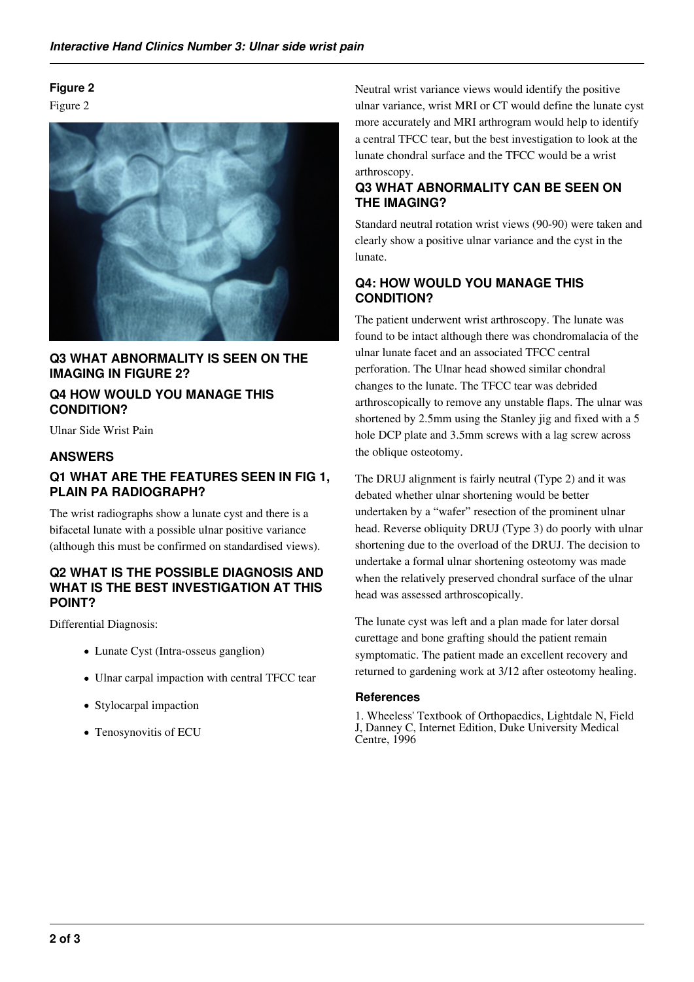# **Figure 2**

Figure 2



**Q3 WHAT ABNORMALITY IS SEEN ON THE IMAGING IN FIGURE 2?**

## **Q4 HOW WOULD YOU MANAGE THIS CONDITION?**

Ulnar Side Wrist Pain

## **ANSWERS**

## **Q1 WHAT ARE THE FEATURES SEEN IN FIG 1, PLAIN PA RADIOGRAPH?**

The wrist radiographs show a lunate cyst and there is a bifacetal lunate with a possible ulnar positive variance (although this must be confirmed on standardised views).

#### **Q2 WHAT IS THE POSSIBLE DIAGNOSIS AND WHAT IS THE BEST INVESTIGATION AT THIS POINT?**

Differential Diagnosis:

- Lunate Cyst (Intra-osseus ganglion)
- Ulnar carpal impaction with central TFCC tear
- Stylocarpal impaction
- Tenosynovitis of ECU

Neutral wrist variance views would identify the positive ulnar variance, wrist MRI or CT would define the lunate cyst more accurately and MRI arthrogram would help to identify a central TFCC tear, but the best investigation to look at the lunate chondral surface and the TFCC would be a wrist arthroscopy.

# **Q3 WHAT ABNORMALITY CAN BE SEEN ON THE IMAGING?**

Standard neutral rotation wrist views (90-90) were taken and clearly show a positive ulnar variance and the cyst in the lunate.

# **Q4: HOW WOULD YOU MANAGE THIS CONDITION?**

The patient underwent wrist arthroscopy. The lunate was found to be intact although there was chondromalacia of the ulnar lunate facet and an associated TFCC central perforation. The Ulnar head showed similar chondral changes to the lunate. The TFCC tear was debrided arthroscopically to remove any unstable flaps. The ulnar was shortened by 2.5mm using the Stanley jig and fixed with a 5 hole DCP plate and 3.5mm screws with a lag screw across the oblique osteotomy.

The DRUJ alignment is fairly neutral (Type 2) and it was debated whether ulnar shortening would be better undertaken by a "wafer" resection of the prominent ulnar head. Reverse obliquity DRUJ (Type 3) do poorly with ulnar shortening due to the overload of the DRUJ. The decision to undertake a formal ulnar shortening osteotomy was made when the relatively preserved chondral surface of the ulnar head was assessed arthroscopically.

The lunate cyst was left and a plan made for later dorsal curettage and bone grafting should the patient remain symptomatic. The patient made an excellent recovery and returned to gardening work at 3/12 after osteotomy healing.

#### **References**

1. Wheeless' Textbook of Orthopaedics, Lightdale N, Field J, Danney C, Internet Edition, Duke University Medical Centre, 1996